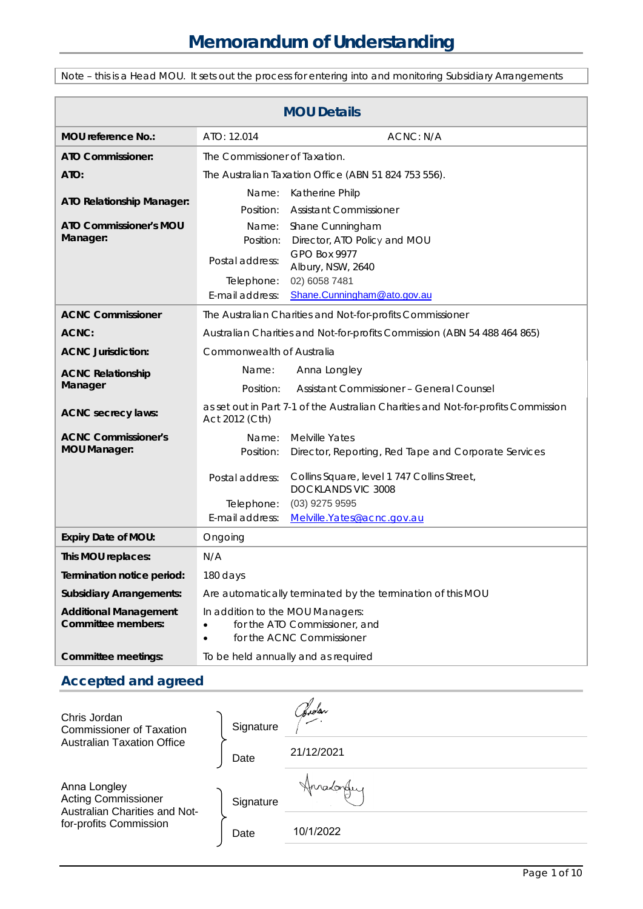Note – this is a Head MOU. It sets out the process for entering into and monitoring Subsidiary Arrangements

| <b>MOU Details</b>                                 |                                                                                                                          |                                                                          |  |
|----------------------------------------------------|--------------------------------------------------------------------------------------------------------------------------|--------------------------------------------------------------------------|--|
| MOU reference No.:                                 | ATO: 12.014                                                                                                              | ACNC: N/A                                                                |  |
| ATO Commissioner:                                  | The Commissioner of Taxation.                                                                                            |                                                                          |  |
| ATO:                                               | The Australian Taxation Office (ABN 51 824 753 556).                                                                     |                                                                          |  |
| <b>ATO Relationship Manager:</b>                   | Name:                                                                                                                    | Katherine Philp                                                          |  |
|                                                    | Position:                                                                                                                | <b>Assistant Commissioner</b>                                            |  |
| <b>ATO Commissioner's MOU</b>                      | Name:                                                                                                                    | Shane Cunningham                                                         |  |
| Manager:                                           | Position:                                                                                                                | Director, ATO Policy and MOU<br><b>GPO Box 9977</b>                      |  |
|                                                    | Postal address:                                                                                                          | Albury, NSW, 2640                                                        |  |
|                                                    | Telephone:                                                                                                               | 02) 6058 7481                                                            |  |
|                                                    | E-mail address:                                                                                                          | Shane.Cunningham@ato.gov.au                                              |  |
| <b>ACNC Commissioner</b>                           | The Australian Charities and Not-for-profits Commissioner                                                                |                                                                          |  |
| ACNC:                                              | Australian Charities and Not-for-profits Commission (ABN 54 488 464 865)                                                 |                                                                          |  |
| <b>ACNC Jurisdiction:</b>                          | Commonwealth of Australia                                                                                                |                                                                          |  |
| <b>ACNC Relationship</b><br>Manager                | Name:                                                                                                                    | Anna Longley                                                             |  |
|                                                    | Position:                                                                                                                | Assistant Commissioner - General Counsel                                 |  |
| <b>ACNC</b> secrecy laws:                          | as set out in Part 7-1 of the Australian Charities and Not-for-profits Commission<br>Act 2012 (Cth)                      |                                                                          |  |
| <b>ACNC Commissioner's</b>                         | Name:                                                                                                                    | <b>Melville Yates</b>                                                    |  |
| <b>MOU Manager:</b>                                | Position:                                                                                                                | Director, Reporting, Red Tape and Corporate Services                     |  |
|                                                    | Postal address:                                                                                                          | Collins Square, level 1 747 Collins Street,<br><b>DOCKLANDS VIC 3008</b> |  |
|                                                    | Telephone:                                                                                                               | $(03)$ 9275 9595                                                         |  |
|                                                    | E-mail address:                                                                                                          | Melville.Yates@acnc.gov.au                                               |  |
| <b>Expiry Date of MOU:</b>                         | Ongoing                                                                                                                  |                                                                          |  |
| This MOU replaces:                                 | N/A                                                                                                                      |                                                                          |  |
| Termination notice period:                         | 180 days                                                                                                                 |                                                                          |  |
| <b>Subsidiary Arrangements:</b>                    | Are automatically terminated by the termination of this MOU                                                              |                                                                          |  |
| <b>Additional Management</b><br>Committee members: | In addition to the MOU Managers:<br>for the ATO Commissioner, and<br>$\bullet$<br>for the ACNC Commissioner<br>$\bullet$ |                                                                          |  |
| Committee meetings:                                | To be held annually and as required                                                                                      |                                                                          |  |

## **Accepted and agreed**

| Chris Jordan<br><b>Commissioner of Taxation</b><br><b>Australian Taxation Office</b>                  | Signature | Sidar.     |
|-------------------------------------------------------------------------------------------------------|-----------|------------|
|                                                                                                       | Date      | 21/12/2021 |
| Anna Longley<br><b>Acting Commissioner</b><br>Australian Charities and Not-<br>for-profits Commission | Signature |            |
|                                                                                                       | Date      | 10/1/2022  |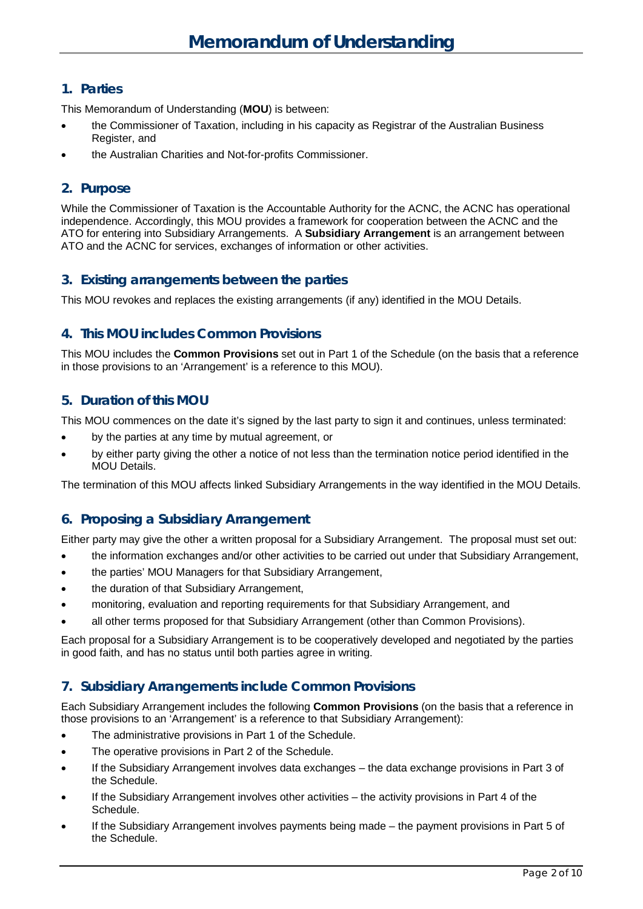### **1. Parties**

This Memorandum of Understanding (**MOU**) is between:

- the Commissioner of Taxation, including in his capacity as Registrar of the Australian Business Register, and
- the Australian Charities and Not-for-profits Commissioner.

### **2. Purpose**

While the Commissioner of Taxation is the Accountable Authority for the ACNC, the ACNC has operational independence. Accordingly, this MOU provides a framework for cooperation between the ACNC and the ATO for entering into Subsidiary Arrangements. A **Subsidiary Arrangement** is an arrangement between ATO and the ACNC for services, exchanges of information or other activities.

### **3. Existing arrangements between the parties**

This MOU revokes and replaces the existing arrangements (if any) identified in the MOU Details.

### **4. This MOU includes Common Provisions**

This MOU includes the **Common Provisions** set out in Part 1 of the Schedule (on the basis that a reference in those provisions to an 'Arrangement' is a reference to this MOU).

### **5. Duration of this MOU**

This MOU commences on the date it's signed by the last party to sign it and continues, unless terminated:

- by the parties at any time by mutual agreement, or
- by either party giving the other a notice of not less than the termination notice period identified in the MOU Details.

The termination of this MOU affects linked Subsidiary Arrangements in the way identified in the MOU Details.

### **6. Proposing a Subsidiary Arrangement**

Either party may give the other a written proposal for a Subsidiary Arrangement. The proposal must set out:

- the information exchanges and/or other activities to be carried out under that Subsidiary Arrangement,
- the parties' MOU Managers for that Subsidiary Arrangement,
- the duration of that Subsidiary Arrangement,
- monitoring, evaluation and reporting requirements for that Subsidiary Arrangement, and
- all other terms proposed for that Subsidiary Arrangement (other than Common Provisions).

Each proposal for a Subsidiary Arrangement is to be cooperatively developed and negotiated by the parties in good faith, and has no status until both parties agree in writing.

### **7. Subsidiary Arrangements include Common Provisions**

Each Subsidiary Arrangement includes the following **Common Provisions** (on the basis that a reference in those provisions to an 'Arrangement' is a reference to that Subsidiary Arrangement):

- The administrative provisions in Part 1 of the Schedule.
- The operative provisions in Part 2 of the Schedule.
- If the Subsidiary Arrangement involves data exchanges the data exchange provisions in Part 3 of the Schedule.
- If the Subsidiary Arrangement involves other activities the activity provisions in Part 4 of the Schedule.
- If the Subsidiary Arrangement involves payments being made the payment provisions in Part 5 of the Schedule.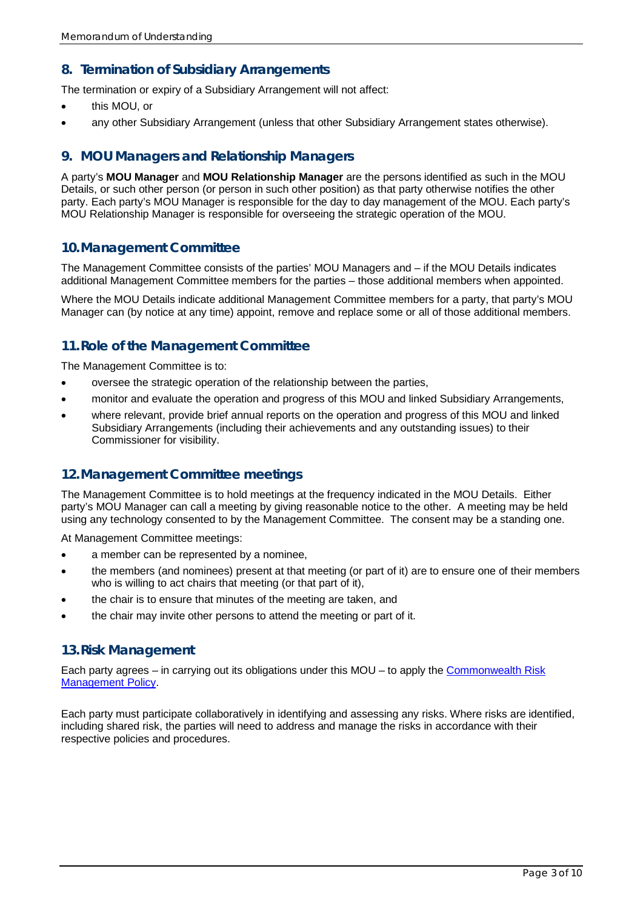### **8. Termination of Subsidiary Arrangements**

The termination or expiry of a Subsidiary Arrangement will not affect:

- this MOU, or
- any other Subsidiary Arrangement (unless that other Subsidiary Arrangement states otherwise).

### **9. MOU Managers and Relationship Managers**

A party's **MOU Manager** and **MOU Relationship Manager** are the persons identified as such in the MOU Details, or such other person (or person in such other position) as that party otherwise notifies the other party. Each party's MOU Manager is responsible for the day to day management of the MOU. Each party's MOU Relationship Manager is responsible for overseeing the strategic operation of the MOU.

#### **10.Management Committee**

The Management Committee consists of the parties' MOU Managers and – if the MOU Details indicates additional Management Committee members for the parties – those additional members when appointed.

Where the MOU Details indicate additional Management Committee members for a party, that party's MOU Manager can (by notice at any time) appoint, remove and replace some or all of those additional members.

### **11.Role of the Management Committee**

The Management Committee is to:

- oversee the strategic operation of the relationship between the parties,
- monitor and evaluate the operation and progress of this MOU and linked Subsidiary Arrangements,
- where relevant, provide brief annual reports on the operation and progress of this MOU and linked Subsidiary Arrangements (including their achievements and any outstanding issues) to their Commissioner for visibility.

#### **12.Management Committee meetings**

The Management Committee is to hold meetings at the frequency indicated in the MOU Details. Either party's MOU Manager can call a meeting by giving reasonable notice to the other. A meeting may be held using any technology consented to by the Management Committee. The consent may be a standing one.

At Management Committee meetings:

- a member can be represented by a nominee,
- the members (and nominees) present at that meeting (or part of it) are to ensure one of their members who is willing to act chairs that meeting (or that part of it),
- the chair is to ensure that minutes of the meeting are taken, and
- the chair may invite other persons to attend the meeting or part of it.

#### **13.Risk Management**

Each party agrees – in carrying out its obligations under this MOU – to apply the [Commonwealth Risk](https://www.finance.gov.au/government/comcover/commonwealth-risk-management-policy)  [Management Policy.](https://www.finance.gov.au/government/comcover/commonwealth-risk-management-policy)

Each party must participate collaboratively in identifying and assessing any risks. Where risks are identified, including shared risk, the parties will need to address and manage the risks in accordance with their respective policies and procedures.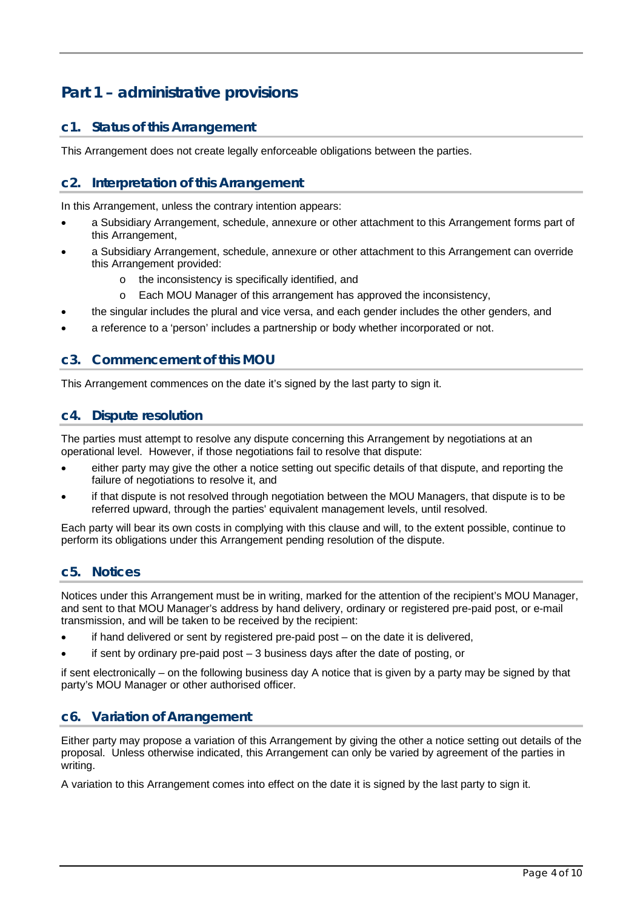# **Part 1 – administrative provisions**

### **c1. Status of this Arrangement**

This Arrangement does not create legally enforceable obligations between the parties.

### **c2. Interpretation of this Arrangement**

In this Arrangement, unless the contrary intention appears:

- a Subsidiary Arrangement, schedule, annexure or other attachment to this Arrangement forms part of this Arrangement,
- a Subsidiary Arrangement, schedule, annexure or other attachment to this Arrangement can override this Arrangement provided:
	- o the inconsistency is specifically identified, and
	- o Each MOU Manager of this arrangement has approved the inconsistency,
- the singular includes the plural and vice versa, and each gender includes the other genders, and
- a reference to a 'person' includes a partnership or body whether incorporated or not.

### **c3. Commencement of this MOU**

This Arrangement commences on the date it's signed by the last party to sign it.

#### **c4. Dispute resolution**

The parties must attempt to resolve any dispute concerning this Arrangement by negotiations at an operational level. However, if those negotiations fail to resolve that dispute:

- either party may give the other a notice setting out specific details of that dispute, and reporting the failure of negotiations to resolve it, and
- if that dispute is not resolved through negotiation between the MOU Managers, that dispute is to be referred upward, through the parties' equivalent management levels, until resolved.

Each party will bear its own costs in complying with this clause and will, to the extent possible, continue to perform its obligations under this Arrangement pending resolution of the dispute.

#### **c5. Notices**

Notices under this Arrangement must be in writing, marked for the attention of the recipient's MOU Manager, and sent to that MOU Manager's address by hand delivery, ordinary or registered pre-paid post, or e-mail transmission, and will be taken to be received by the recipient:

- if hand delivered or sent by registered pre-paid post on the date it is delivered,
- if sent by ordinary pre-paid post  $-3$  business days after the date of posting, or

if sent electronically – on the following business day A notice that is given by a party may be signed by that party's MOU Manager or other authorised officer.

#### **c6. Variation of Arrangement**

Either party may propose a variation of this Arrangement by giving the other a notice setting out details of the proposal. Unless otherwise indicated, this Arrangement can only be varied by agreement of the parties in writing.

A variation to this Arrangement comes into effect on the date it is signed by the last party to sign it.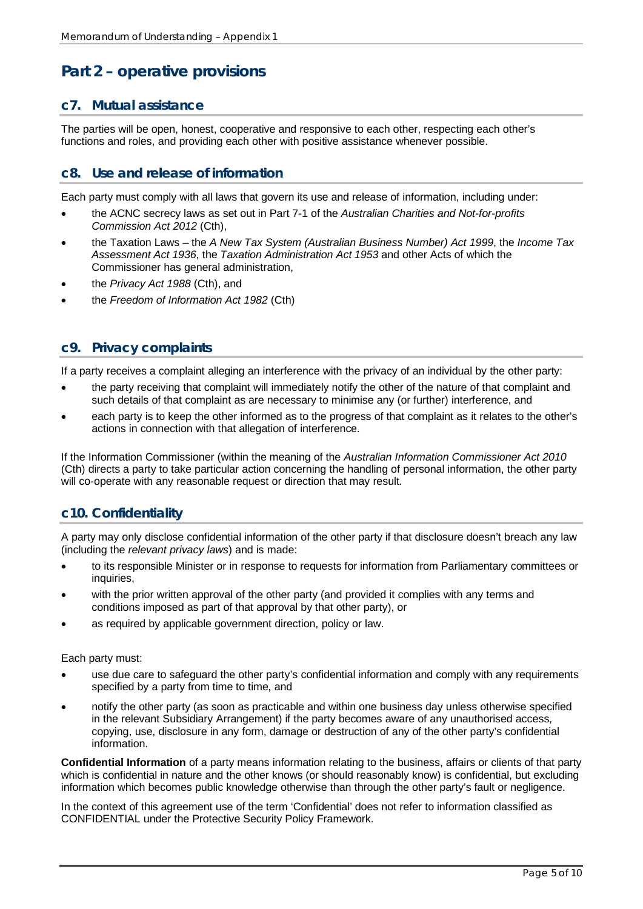# **Part 2 – operative provisions**

### **c7. Mutual assistance**

The parties will be open, honest, cooperative and responsive to each other, respecting each other's functions and roles, and providing each other with positive assistance whenever possible.

### **c8. Use and release of information**

Each party must comply with all laws that govern its use and release of information, including under:

- the ACNC secrecy laws as set out in Part 7-1 of the *Australian Charities and Not-for-profits Commission Act 2012* (Cth),
- the Taxation Laws the *A New Tax System (Australian Business Number) Act 1999*, the *Income Tax Assessment Act 1936*, the *Taxation Administration Act 1953* and other Acts of which the Commissioner has general administration,
- the *Privacy Act 1988* (Cth), and
- the *Freedom of Information Act 1982* (Cth)

#### **c9. Privacy complaints**

If a party receives a complaint alleging an interference with the privacy of an individual by the other party:

- the party receiving that complaint will immediately notify the other of the nature of that complaint and such details of that complaint as are necessary to minimise any (or further) interference, and
- each party is to keep the other informed as to the progress of that complaint as it relates to the other's actions in connection with that allegation of interference.

If the Information Commissioner (within the meaning of the *Australian Information Commissioner Act 2010* (Cth) directs a party to take particular action concerning the handling of personal information, the other party will co-operate with any reasonable request or direction that may result.

### **c10. Confidentiality**

A party may only disclose confidential information of the other party if that disclosure doesn't breach any law (including the *relevant privacy laws*) and is made:

- to its responsible Minister or in response to requests for information from Parliamentary committees or inquiries.
- with the prior written approval of the other party (and provided it complies with any terms and conditions imposed as part of that approval by that other party), or
- as required by applicable government direction, policy or law.

Each party must:

- use due care to safeguard the other party's confidential information and comply with any requirements specified by a party from time to time, and
- notify the other party (as soon as practicable and within one business day unless otherwise specified in the relevant Subsidiary Arrangement) if the party becomes aware of any unauthorised access, copying, use, disclosure in any form, damage or destruction of any of the other party's confidential information.

**Confidential Information** of a party means information relating to the business, affairs or clients of that party which is confidential in nature and the other knows (or should reasonably know) is confidential, but excluding information which becomes public knowledge otherwise than through the other party's fault or negligence.

In the context of this agreement use of the term 'Confidential' does not refer to information classified as CONFIDENTIAL under the Protective Security Policy Framework.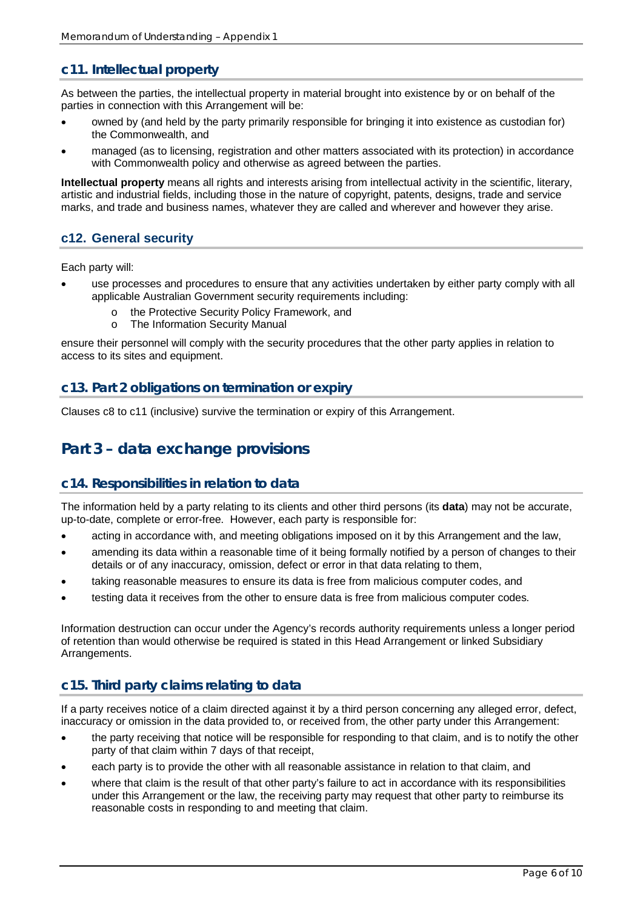### **c11. Intellectual property**

As between the parties, the intellectual property in material brought into existence by or on behalf of the parties in connection with this Arrangement will be:

- owned by (and held by the party primarily responsible for bringing it into existence as custodian for) the Commonwealth, and
- managed (as to licensing, registration and other matters associated with its protection) in accordance with Commonwealth policy and otherwise as agreed between the parties.

**Intellectual property** means all rights and interests arising from intellectual activity in the scientific, literary, artistic and industrial fields, including those in the nature of copyright, patents, designs, trade and service marks, and trade and business names, whatever they are called and wherever and however they arise.

### **c12. General security**

Each party will:

- use processes and procedures to ensure that any activities undertaken by either party comply with all applicable Australian Government security requirements including:
	- o the Protective Security Policy Framework, and<br>
	o The Information Security Manual
	- The Information Security Manual

ensure their personnel will comply with the security procedures that the other party applies in relation to access to its sites and equipment.

#### **c13. Part 2 obligations on termination or expiry**

Clauses c8 to c11 (inclusive) survive the termination or expiry of this Arrangement.

## **Part 3 – data exchange provisions**

#### **c14. Responsibilities in relation to data**

The information held by a party relating to its clients and other third persons (its **data**) may not be accurate, up-to-date, complete or error-free. However, each party is responsible for:

- acting in accordance with, and meeting obligations imposed on it by this Arrangement and the law,
- amending its data within a reasonable time of it being formally notified by a person of changes to their details or of any inaccuracy, omission, defect or error in that data relating to them,
- taking reasonable measures to ensure its data is free from malicious computer codes, and
- testing data it receives from the other to ensure data is free from malicious computer codes.

Information destruction can occur under the Agency's records authority requirements unless a longer period of retention than would otherwise be required is stated in this Head Arrangement or linked Subsidiary Arrangements.

### **c15. Third party claims relating to data**

If a party receives notice of a claim directed against it by a third person concerning any alleged error, defect, inaccuracy or omission in the data provided to, or received from, the other party under this Arrangement:

- the party receiving that notice will be responsible for responding to that claim, and is to notify the other party of that claim within 7 days of that receipt,
- each party is to provide the other with all reasonable assistance in relation to that claim, and
- where that claim is the result of that other party's failure to act in accordance with its responsibilities under this Arrangement or the law, the receiving party may request that other party to reimburse its reasonable costs in responding to and meeting that claim.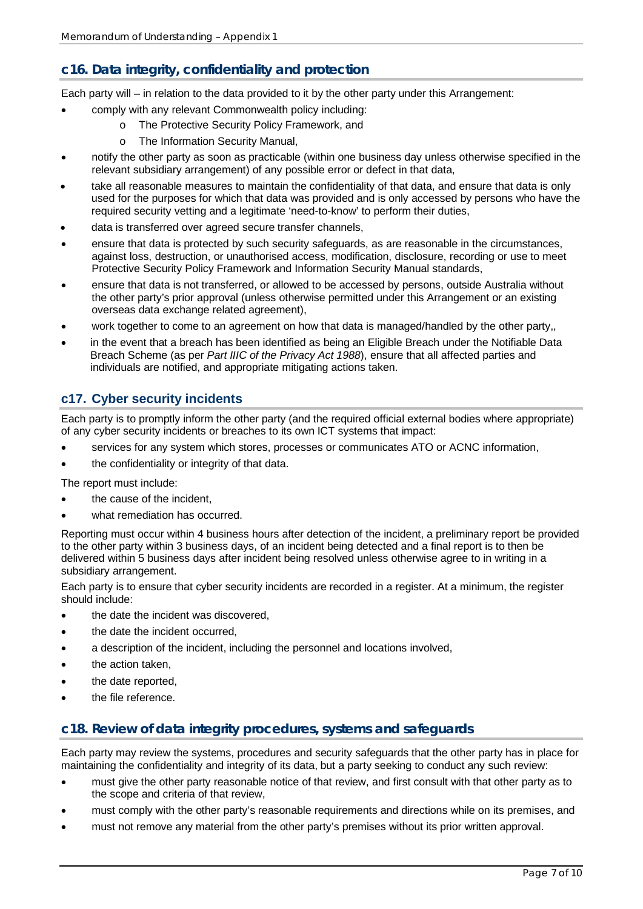## **c16. Data integrity, confidentiality and protection**

Each party will – in relation to the data provided to it by the other party under this Arrangement:

- comply with any relevant Commonwealth policy including:
	- o The Protective Security Policy Framework, and
	- o The Information Security Manual,
- notify the other party as soon as practicable (within one business day unless otherwise specified in the relevant subsidiary arrangement) of any possible error or defect in that data,
- take all reasonable measures to maintain the confidentiality of that data, and ensure that data is only used for the purposes for which that data was provided and is only accessed by persons who have the required security vetting and a legitimate 'need-to-know' to perform their duties,
- data is transferred over agreed secure transfer channels,
- ensure that data is protected by such security safeguards, as are reasonable in the circumstances, against loss, destruction, or unauthorised access, modification, disclosure, recording or use to meet Protective Security Policy Framework and Information Security Manual standards,
- ensure that data is not transferred, or allowed to be accessed by persons, outside Australia without the other party's prior approval (unless otherwise permitted under this Arrangement or an existing overseas data exchange related agreement),
- work together to come to an agreement on how that data is managed/handled by the other party,,
- in the event that a breach has been identified as being an Eligible Breach under the Notifiable Data Breach Scheme (as per *Part IIIC of the Privacy Act 1988*), ensure that all affected parties and individuals are notified, and appropriate mitigating actions taken.

### **c17. Cyber security incidents**

Each party is to promptly inform the other party (and the required official external bodies where appropriate) of any cyber security incidents or breaches to its own ICT systems that impact:

- services for any system which stores, processes or communicates ATO or ACNC information,
- the confidentiality or integrity of that data.

The report must include:

- the cause of the incident,
- what remediation has occurred.

Reporting must occur within 4 business hours after detection of the incident, a preliminary report be provided to the other party within 3 business days, of an incident being detected and a final report is to then be delivered within 5 business days after incident being resolved unless otherwise agree to in writing in a subsidiary arrangement.

Each party is to ensure that cyber security incidents are recorded in a register. At a minimum, the register should include:

- the date the incident was discovered.
- the date the incident occurred.
- a description of the incident, including the personnel and locations involved,
- the action taken,
- the date reported.
- the file reference.

#### **c18. Review of data integrity procedures, systems and safeguards**

Each party may review the systems, procedures and security safeguards that the other party has in place for maintaining the confidentiality and integrity of its data, but a party seeking to conduct any such review:

- must give the other party reasonable notice of that review, and first consult with that other party as to the scope and criteria of that review,
- must comply with the other party's reasonable requirements and directions while on its premises, and
- must not remove any material from the other party's premises without its prior written approval.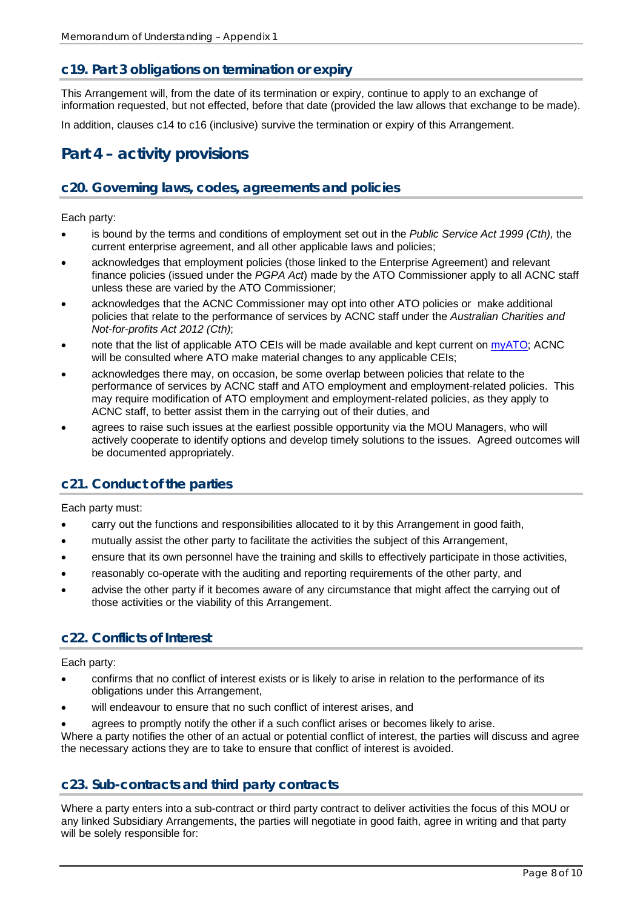### **c19. Part 3 obligations on termination or expiry**

This Arrangement will, from the date of its termination or expiry, continue to apply to an exchange of information requested, but not effected, before that date (provided the law allows that exchange to be made).

In addition, clauses c14 to c16 (inclusive) survive the termination or expiry of this Arrangement.

## **Part 4 – activity provisions**

#### **c20. Governing laws, codes, agreements and policies**

Each party:

- is bound by the terms and conditions of employment set out in the *Public Service Act 1999 (Cth),* the current enterprise agreement, and all other applicable laws and policies;
- acknowledges that employment policies (those linked to the Enterprise Agreement) and relevant finance policies (issued under the *PGPA Act*) made by the ATO Commissioner apply to all ACNC staff unless these are varied by the ATO Commissioner;
- acknowledges that the ACNC Commissioner may opt into other ATO policies or make additional policies that relate to the performance of services by ACNC staff under the *Australian Charities and Not-for-profits Act 2012 (Cth)*;
- note that the list of applicable ATO CEIs will be made available and kept current o[n myATO;](http://myato/Governance/CEIs/Pages/ACNC-CEIs.aspx) ACNC will be consulted where ATO make material changes to any applicable CEIs;
- acknowledges there may, on occasion, be some overlap between policies that relate to the performance of services by ACNC staff and ATO employment and employment-related policies. This may require modification of ATO employment and employment-related policies, as they apply to ACNC staff, to better assist them in the carrying out of their duties, and
- agrees to raise such issues at the earliest possible opportunity via the MOU Managers, who will actively cooperate to identify options and develop timely solutions to the issues. Agreed outcomes will be documented appropriately.

### **c21. Conduct of the parties**

Each party must:

- carry out the functions and responsibilities allocated to it by this Arrangement in good faith,
- mutually assist the other party to facilitate the activities the subject of this Arrangement,
- ensure that its own personnel have the training and skills to effectively participate in those activities,
- reasonably co-operate with the auditing and reporting requirements of the other party, and
- advise the other party if it becomes aware of any circumstance that might affect the carrying out of those activities or the viability of this Arrangement.

#### **c22. Conflicts of Interest**

Each party:

- confirms that no conflict of interest exists or is likely to arise in relation to the performance of its obligations under this Arrangement,
- will endeavour to ensure that no such conflict of interest arises, and
- agrees to promptly notify the other if a such conflict arises or becomes likely to arise.

Where a party notifies the other of an actual or potential conflict of interest, the parties will discuss and agree the necessary actions they are to take to ensure that conflict of interest is avoided.

#### **c23. Sub-contracts and third party contracts**

Where a party enters into a sub-contract or third party contract to deliver activities the focus of this MOU or any linked Subsidiary Arrangements, the parties will negotiate in good faith, agree in writing and that party will be solely responsible for: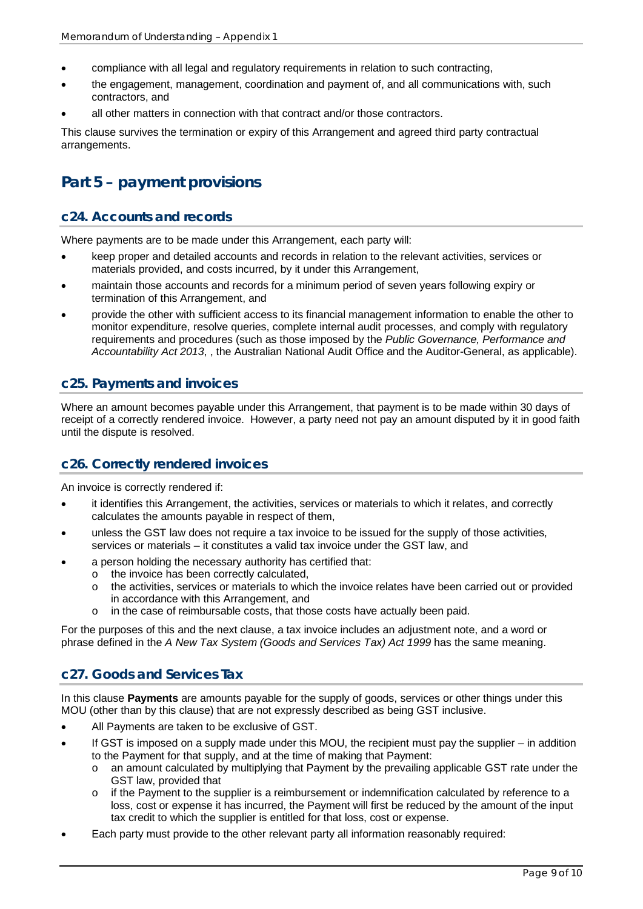- compliance with all legal and regulatory requirements in relation to such contracting,
- the engagement, management, coordination and payment of, and all communications with, such contractors, and
- all other matters in connection with that contract and/or those contractors.

This clause survives the termination or expiry of this Arrangement and agreed third party contractual arrangements.

## **Part 5 – payment provisions**

### **c24. Accounts and records**

Where payments are to be made under this Arrangement, each party will:

- keep proper and detailed accounts and records in relation to the relevant activities, services or materials provided, and costs incurred, by it under this Arrangement,
- maintain those accounts and records for a minimum period of seven years following expiry or termination of this Arrangement, and
- provide the other with sufficient access to its financial management information to enable the other to monitor expenditure, resolve queries, complete internal audit processes, and comply with regulatory requirements and procedures (such as those imposed by the *Public Governance, Performance and Accountability Act 2013*, , the Australian National Audit Office and the Auditor-General, as applicable).

### **c25. Payments and invoices**

Where an amount becomes payable under this Arrangement, that payment is to be made within 30 days of receipt of a correctly rendered invoice. However, a party need not pay an amount disputed by it in good faith until the dispute is resolved.

#### **c26. Correctly rendered invoices**

An invoice is correctly rendered if:

- it identifies this Arrangement, the activities, services or materials to which it relates, and correctly calculates the amounts payable in respect of them,
- unless the GST law does not require a tax invoice to be issued for the supply of those activities, services or materials – it constitutes a valid tax invoice under the GST law, and
- a person holding the necessary authority has certified that:
	- o the invoice has been correctly calculated,<br>
	o the activities, services or materials to which
	- the activities, services or materials to which the invoice relates have been carried out or provided in accordance with this Arrangement, and
	- o in the case of reimbursable costs, that those costs have actually been paid.

For the purposes of this and the next clause, a tax invoice includes an adjustment note, and a word or phrase defined in the *A New Tax System (Goods and Services Tax) Act 1999* has the same meaning.

### **c27. Goods and Services Tax**

In this clause **Payments** are amounts payable for the supply of goods, services or other things under this MOU (other than by this clause) that are not expressly described as being GST inclusive.

- All Payments are taken to be exclusive of GST.
- If GST is imposed on a supply made under this MOU, the recipient must pay the supplier in addition to the Payment for that supply, and at the time of making that Payment:
	- o an amount calculated by multiplying that Payment by the prevailing applicable GST rate under the GST law, provided that
	- $\circ$  if the Payment to the supplier is a reimbursement or indemnification calculated by reference to a loss, cost or expense it has incurred, the Payment will first be reduced by the amount of the input tax credit to which the supplier is entitled for that loss, cost or expense.
- Each party must provide to the other relevant party all information reasonably required: